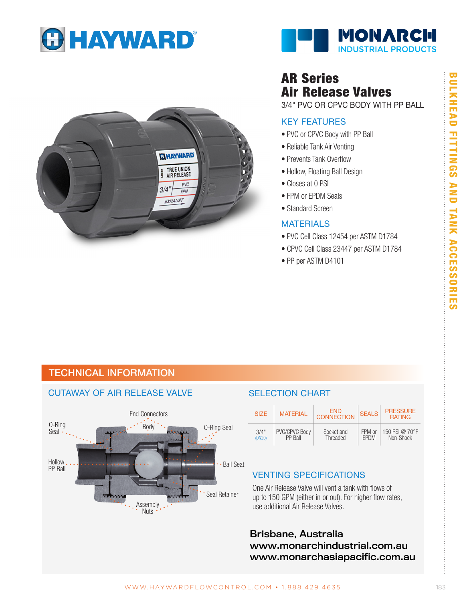





# AR Series Air Release Valves

3/4" PVC OR CPVC BODY WITH PP BALL

### KEY FEATURES

- PVC or CPVC Body with PP Ball
- Reliable Tank Air Venting
- Prevents Tank Overflow
- Hollow, Floating Ball Design
- Closes at 0 PSI
- FPM or EPDM Seals
- Standard Screen

#### **MATERIALS**

- PVC Cell Class 12454 per ASTM D1784
- CPVC Cell Class 23447 per ASTM D1784
- PP per ASTM D4101

# TECHNICAL INFORMATION

CUTAWAY OF AIR RELEASE VALVE

## Body Assembly **Nuts** Ball Seat Seal Retainer Hollow. PP Ball O-Ring<br>Seal • Seal ... **Communication** Seal O-Ring Seal End Connectors

#### SELECTION CHART

| <b>SIZE</b> | <b>MATERIAL</b>      | <b>END</b><br><b>CONNECTION</b> | <b>SEALS</b> | <b>PRESSURE</b><br><b>RATING</b> |
|-------------|----------------------|---------------------------------|--------------|----------------------------------|
| 3/4"        | <b>PVC/CPVC Body</b> | Socket and                      | FPM or       | 150 PSI @ 70°F                   |
| (DN20)      | PP Rall              | Threaded                        | <b>FPDM</b>  | Non-Shock                        |

# VENTING SPECIFICATIONS

One Air Release Valve will vent a tank with flows of up to 150 GPM (either in or out). For higher flow rates, use additional Air Release Valves.

# Brisbane, Australia www.monarchindustrial.com.au www.monarchasiapacific.com.au

÷